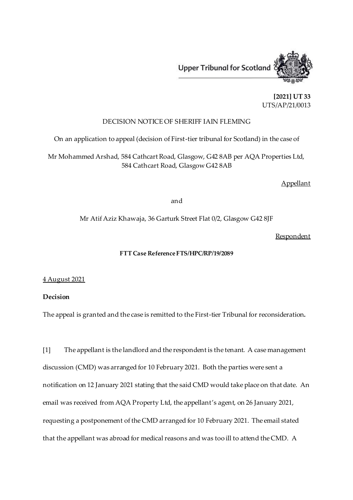

**[2021] UT 33** UTS/AP/21/0013

## DECISION NOTICE OF SHERIFF IAIN FLEMING

On an application to appeal (decision of First-tier tribunal for Scotland) in the case of

Mr Mohammed Arshad, 584 Cathcart Road, Glasgow, G42 8AB per AQA Properties Ltd, 584 Cathcart Road, Glasgow G42 8AB

Appellant

and

Mr Atif Aziz Khawaja, 36 Garturk Street Flat 0/2, Glasgow G42 8JF

**Respondent** 

## **FTT Case Reference FTS/HPC/RP/19/2089**

4 August 2021

**Decision**

The appeal is granted and the case is remitted to the First-tier Tribunal for reconsideration**.**

[1] The appellant is the landlord and the respondent is the tenant. A case management discussion (CMD) was arranged for 10 February 2021. Both the parties were sent a notification on 12 January 2021 stating that the said CMD would take place on that date. An email was received from AQA Property Ltd, the appellant's agent, on 26 January 2021, requesting a postponement of the CMD arranged for 10 February 2021. The email stated that the appellant was abroad for medical reasons and was too ill to attend the CMD. A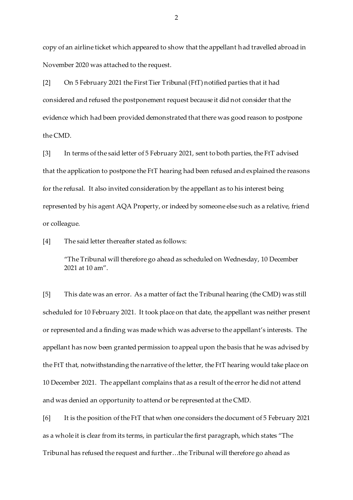copy of an airline ticket which appeared to show that the appellant had travelled abroad in November 2020 was attached to the request.

[2] On 5 February 2021 the First Tier Tribunal (FtT) notified parties that it had considered and refused the postponement request because it did not consider that the evidence which had been provided demonstrated that there was good reason to postpone the CMD.

[3] In terms of the said letter of 5 February 2021, sent to both parties, the FtT advised that the application to postpone the FtT hearing had been refused and explained the reasons for the refusal. It also invited consideration by the appellant as to his interest being represented by his agent AQA Property, or indeed by someone else such as a relative, friend or colleague.

[4] The said letter thereafter stated as follows:

"The Tribunal will therefore go ahead as scheduled on Wednesday, 10 December 2021 at 10 am".

[5] This date was an error. As a matter of fact the Tribunal hearing (the CMD) was still scheduled for 10 February 2021. It took place on that date, the appellant was neither present or represented and a finding was made which was adverse to the appellant's interests. The appellant has now been granted permission to appeal upon the basis that he was advised by the FtT that, notwithstanding the narrative of the letter, the FtT hearing would take place on 10 December 2021. The appellant complains that as a result of the error he did not attend and was denied an opportunity to attend or be represented at the CMD.

[6] It is the position of the FtT that when one considers the document of 5 February 2021 as a whole it is clear from its terms, in particular the first paragraph, which states "The Tribunal has refused the request and further…the Tribunal will therefore go ahead as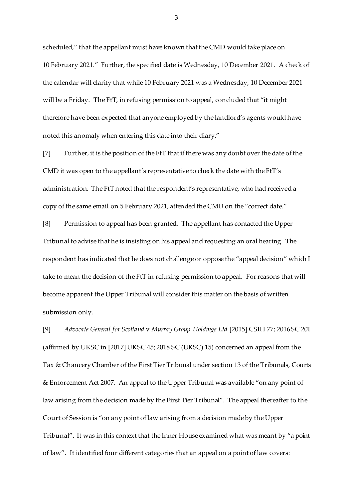scheduled," that the appellant must have known that the CMD would take place on 10 February 2021." Further, the specified date is Wednesday, 10 December 2021. A check of the calendar will clarify that while 10 February 2021 was a Wednesday, 10 December 2021 will be a Friday. The FtT, in refusing permission to appeal, concluded that "it might therefore have been expected that anyone employed by the landlord's agents would have noted this anomaly when entering this date into their diary."

[7] Further, it is the position of the FtT that if there was any doubt over the date of the CMD it was open to the appellant's representative to check the date with the FtT's administration. The FtT noted that the respondent's representative, who had received a copy of the same email on 5 February 2021, attended the CMD on the "correct date."

[8] Permission to appeal has been granted. The appellant has contacted the Upper Tribunal to advise that he is insisting on his appeal and requesting an oral hearing. The respondent has indicated that he does not challenge or oppose the "appeal decision" which I take to mean the decision of the FtT in refusing permission to appeal. For reasons that will become apparent the Upper Tribunal will consider this matter on the basis of written submission only.

[9] *Advocate General for Scotland* v *Murray Group Holdings Ltd* [2015] CSIH 77; 2016 SC 201 (affirmed by UKSC in [2017] UKSC 45; 2018 SC (UKSC) 15) concerned an appeal from the Tax & Chancery Chamber of the First Tier Tribunal under section 13 of the Tribunals, Courts & Enforcement Act 2007. An appeal to the Upper Tribunal was available "on any point of law arising from the decision made by the First Tier Tribunal". The appeal thereafter to the Court of Session is "on any point of law arising from a decision made by the Upper Tribunal". It was in this context that the Inner House examined what was meant by "a point of law". It identified four different categories that an appeal on a point of law covers:

3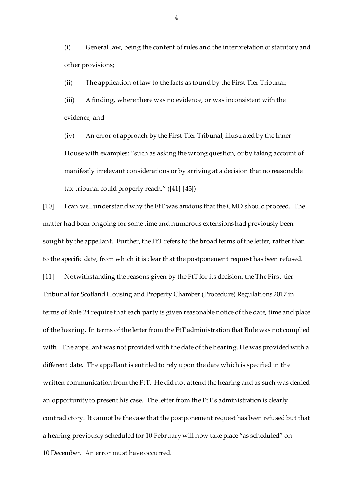(i) General law, being the content of rules and the interpretation of statutory and other provisions;

(ii) The application of law to the facts as found by the First Tier Tribunal;

(iii) A finding, where there was no evidence, or was inconsistent with the evidence; and

(iv) An error of approach by the First Tier Tribunal, illustrated by the Inner House with examples: "such as asking the wrong question, or by taking account of manifestly irrelevant considerations or by arriving at a decision that no reasonable tax tribunal could properly reach." ([41]-[43])

[10] I can well understand why the FtT was anxious that the CMD should proceed. The matter had been ongoing for some time and numerous extensions had previously been sought by the appellant. Further, the FtT refers to the broad terms of the letter, rather than to the specific date, from which it is clear that the postponement request has been refused. [11] Notwithstanding the reasons given by the FtT for its decision, the The First-tier Tribunal for Scotland Housing and Property Chamber (Procedure) Regulations 2017 in terms of Rule 24 require that each party is given reasonable notice of the date, time and place of the hearing. In terms of the letter from the FtT administration that Rule was not complied with. The appellant was not provided with the date of the hearing. He was provided with a different date. The appellant is entitled to rely upon the date which is specified in the written communication from the FtT. He did not attend the hearing and as such was denied an opportunity to present his case. The letter from the FtT's administration is clearly contradictory. It cannot be the case that the postponement request has been refused but that a hearing previously scheduled for 10 February will now take place "as scheduled" on 10 December. An error must have occurred.

4